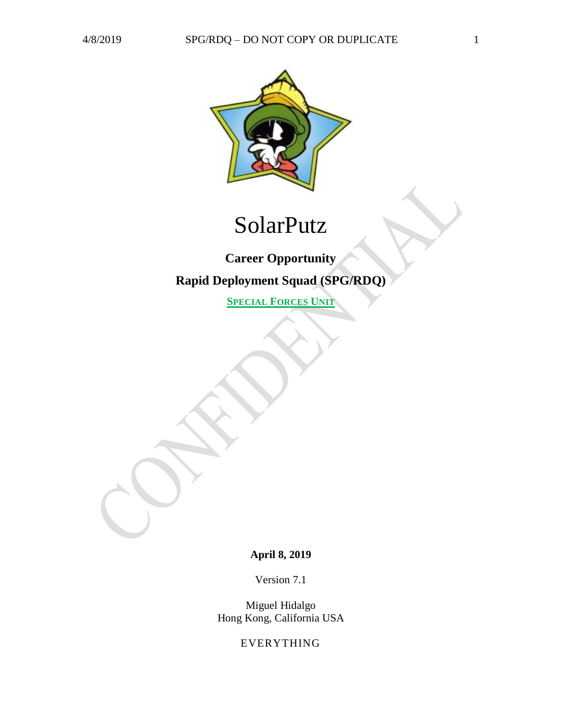

# SolarPutz

# **Career Opportunity Rapid Deployment Squad (SPG/RDQ)**

**SPECIAL FORCES UNIT**

## **April 8, 2019**

Version 7.1

Miguel Hidalgo Hong Kong, California USA

EVERYTHING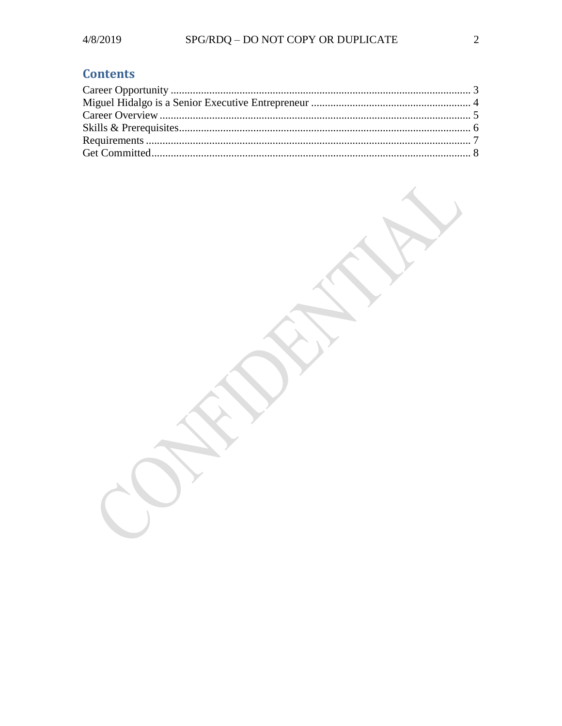# **Contents**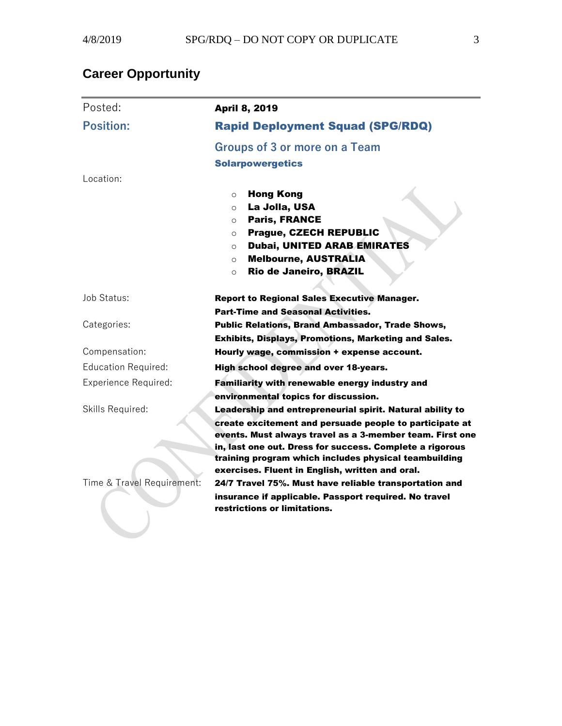# <span id="page-2-0"></span>**Career Opportunity**

| <b>Position:</b><br><b>Rapid Deployment Squad (SPG/RDQ)</b>                                                         |  |
|---------------------------------------------------------------------------------------------------------------------|--|
|                                                                                                                     |  |
| <b>Groups of 3 or more on a Team</b>                                                                                |  |
| <b>Solarpowergetics</b>                                                                                             |  |
| Location:                                                                                                           |  |
| <b>Hong Kong</b><br>$\circ$                                                                                         |  |
| La Jolla, USA<br>$\circ$                                                                                            |  |
| <b>Paris, FRANCE</b><br>$\Omega$<br><b>Prague, CZECH REPUBLIC</b>                                                   |  |
| $\circ$<br><b>Dubai, UNITED ARAB EMIRATES</b><br>$\circ$                                                            |  |
| <b>Melbourne, AUSTRALIA</b><br>$\circ$                                                                              |  |
| Rio de Janeiro, BRAZIL<br>$\circ$                                                                                   |  |
|                                                                                                                     |  |
| Job Status:<br><b>Report to Regional Sales Executive Manager.</b>                                                   |  |
| <b>Part-Time and Seasonal Activities.</b>                                                                           |  |
| Categories:<br><b>Public Relations, Brand Ambassador, Trade Shows,</b>                                              |  |
| Exhibits, Displays, Promotions, Marketing and Sales.<br>Compensation:<br>Hourly wage, commission + expense account. |  |
| <b>Education Required:</b><br>High school degree and over 18-years.                                                 |  |
| <b>Experience Required:</b><br>Familiarity with renewable energy industry and                                       |  |
| environmental topics for discussion.                                                                                |  |
| Skills Required:<br>Leadership and entrepreneurial spirit. Natural ability to                                       |  |
| create excitement and persuade people to participate at                                                             |  |
| events. Must always travel as a 3-member team. First one                                                            |  |
| in, last one out. Dress for success. Complete a rigorous                                                            |  |
| training program which includes physical teambuilding<br>exercises. Fluent in English, written and oral.            |  |
| Time & Travel Requirement:<br>24/7 Travel 75%. Must have reliable transportation and                                |  |
| insurance if applicable. Passport required. No travel                                                               |  |
| restrictions or limitations.                                                                                        |  |
|                                                                                                                     |  |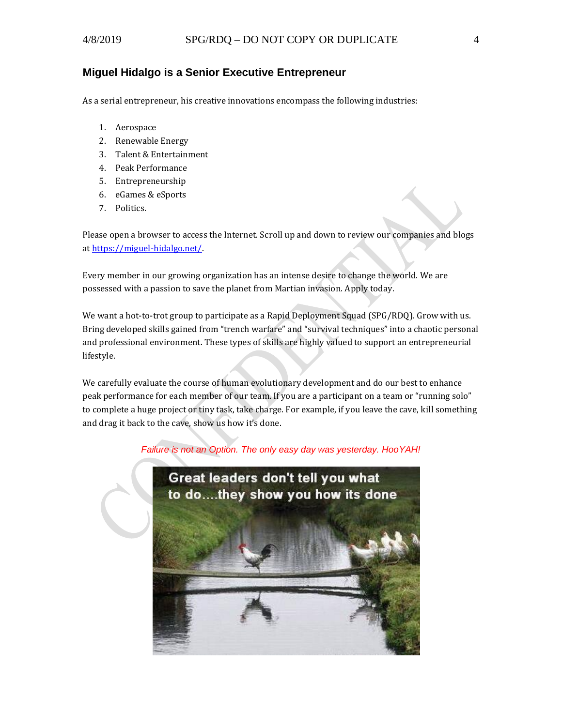#### <span id="page-3-0"></span>**Miguel Hidalgo is a Senior Executive Entrepreneur**

As a serial entrepreneur, his creative innovations encompass the following industries:

- 1. Aerospace
- 2. Renewable Energy
- 3. Talent & Entertainment
- 4. Peak Performance
- 5. Entrepreneurship
- 6. eGames & eSports
- 7. Politics.

Please open a browser to access the Internet. Scroll up and down to review our companies and blogs a[t https://miguel-hidalgo.net/.](https://miguel-hidalgo.net/)

Every member in our growing organization has an intense desire to change the world. We are possessed with a passion to save the planet from Martian invasion. Apply today.

We want a hot-to-trot group to participate as a Rapid Deployment Squad (SPG/RDQ). Grow with us. Bring developed skills gained from "trench warfare" and "survival techniques" into a chaotic personal and professional environment. These types of skills are highly valued to support an entrepreneurial lifestyle.

We carefully evaluate the course of human evolutionary development and do our best to enhance peak performance for each member of our team. If you are a participant on a team or "running solo" to complete a huge project or tiny task, take charge. For example, if you leave the cave, kill something and drag it back to the cave, show us how it's done.

#### *Failure is not an Option. The only easy day was yesterday. HooYAH!*

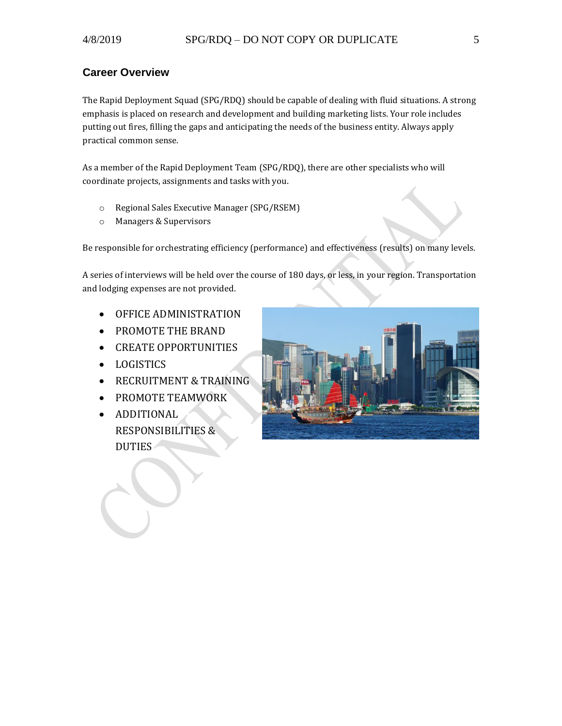### <span id="page-4-0"></span>**Career Overview**

The Rapid Deployment Squad (SPG/RDQ) should be capable of dealing with fluid situations. A strong emphasis is placed on research and development and building marketing lists. Your role includes putting out fires, filling the gaps and anticipating the needs of the business entity. Always apply practical common sense.

As a member of the Rapid Deployment Team (SPG/RDQ), there are other specialists who will coordinate projects, assignments and tasks with you.

- o Regional Sales Executive Manager (SPG/RSEM)
- o Managers & Supervisors

Be responsible for orchestrating efficiency (performance) and effectiveness (results) on many levels.

A series of interviews will be held over the course of 180 days, or less, in your region. Transportation and lodging expenses are not provided.

- OFFICE ADMINISTRATION
- PROMOTE THE BRAND
- CREATE OPPORTUNITIES
- LOGISTICS
- RECRUITMENT & TRAINING
- PROMOTE TEAMWORK
- ADDITIONAL RESPONSIBILITIES & DUTIES

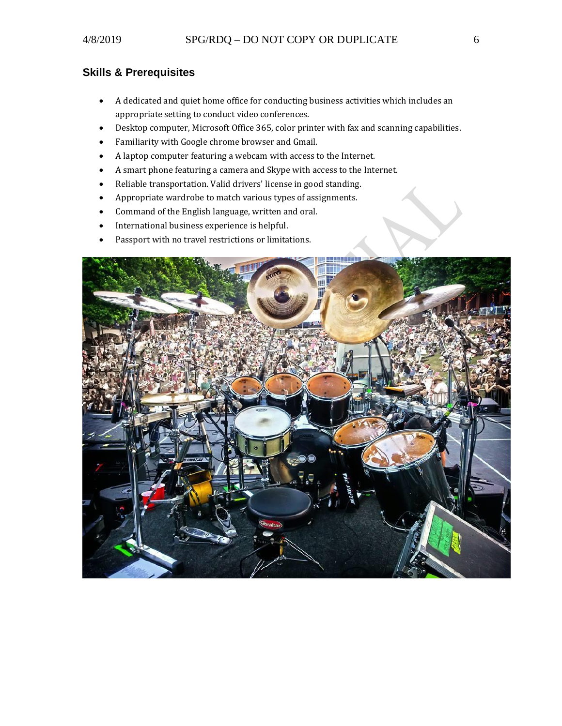## <span id="page-5-0"></span>**Skills & Prerequisites**

- A dedicated and quiet home office for conducting business activities which includes an appropriate setting to conduct video conferences.
- Desktop computer, Microsoft Office 365, color printer with fax and scanning capabilities.
- Familiarity with Google chrome browser and Gmail.
- A laptop computer featuring a webcam with access to the Internet.
- A smart phone featuring a camera and Skype with access to the Internet.
- Reliable transportation. Valid drivers' license in good standing.
- Appropriate wardrobe to match various types of assignments.
- Command of the English language, written and oral.
- International business experience is helpful.
- Passport with no travel restrictions or limitations.

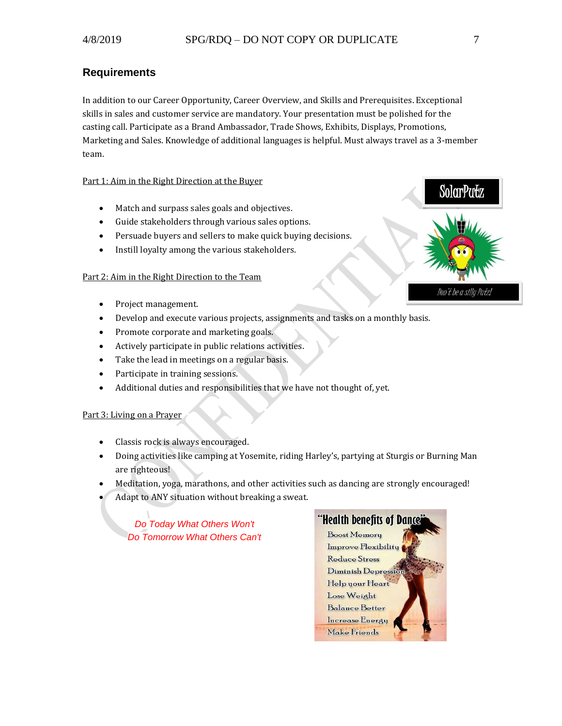#### <span id="page-6-0"></span>**Requirements**

In addition to our Career Opportunity, Career Overview, and Skills and Prerequisites. Exceptional skills in sales and customer service are mandatory. Your presentation must be polished for the casting call. Participate as a Brand Ambassador, Trade Shows, Exhibits, Displays, Promotions, Marketing and Sales. Knowledge of additional languages is helpful. Must always travel as a 3-member team.

#### Part 1: Aim in the Right Direction at the Buyer

- Match and surpass sales goals and objectives.
- Guide stakeholders through various sales options.
- Persuade buyers and sellers to make quick buying decisions.
- Instill loyalty among the various stakeholders.

#### Part 2: Aim in the Right Direction to the Team

- Project management.
- Develop and execute various projects, assignments and tasks on a monthly basis.
- Promote corporate and marketing goals.
- Actively participate in public relations activities.
- Take the lead in meetings on a regular basis.
- Participate in training sessions.
- Additional duties and responsibilities that we have not thought of, yet.

#### Part 3: Living on a Prayer

- Classis rock is always encouraged.
- Doing activities like camping at Yosemite, riding Harley's, partying at Sturgis or Burning Man are righteous!
- Meditation, yoga, marathons, and other activities such as dancing are strongly encouraged!
- Adapt to ANY situation without breaking a sweat.

*Do Today What Others Won't Do Tomorrow What Others Can't*